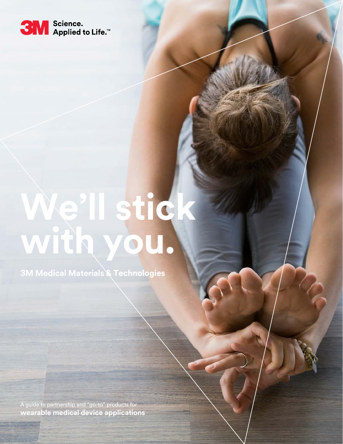

# **We'll stick with you.**

**3M Medical Materials & Technologies**

A guide to partnership and "go-to" products for **wearable medical device applications**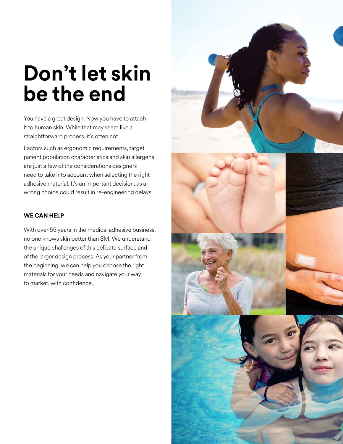# **Don't let skin be the end**

You have a great design. Now you have to attach it to human skin. While that may seem like a straightforward process, it's often not.

Factors such as ergonomic requirements, target patient population characteristics and skin allergens are just a few of the considerations designers need to take into account when selecting the right adhesive material. It's an important decision, as a wrong choice could result in re-engineering delays.

# **WE CAN HELP**

With over 55 years in the medical adhesive business, no one knows skin better than 3M. We understand the unique challenges of this delicate surface and of the larger design process. As your partner from the beginning, we can help you choose the right materials for your needs and navigate your way to market, with confidence.

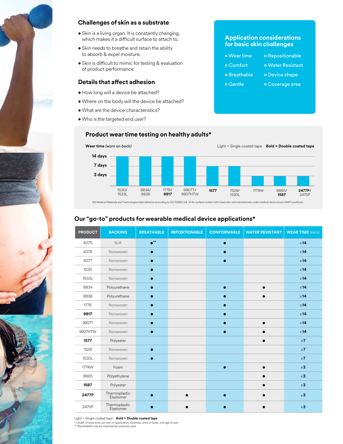

## **Challenges of skin as a substrate**

- Skin is a living organ. It is constantly changing, which makes it a difficult surface to attach to.
- Skin needs to breathe and retain the ability to absorb & expel moisture.
- Skin is difficult to mimic for testing & evaluation of product performance.

### **Details that affect adhesion**

- How long will a device be attached?
- Where on the body will the device be attached?
- What are the device characteristics?
- Who is the targeted end user?

### **Application considerations for basic skin challenges**

• Wear time

# • Repositionable

- 
- Breathable • Device shape
- Gentle
- Coverage area



#### 3M Medical Materials and Technologies tests adhesive according to ISO:10993-5 & -10 for surface contact with intact skin and manufactures under medical device level cGMP conditions.

# **Our "go-to" products for wearable medical device applications\***

| <b>PRODUCT</b> | <b>BACKING</b>             | <b>BREATHABLE</b> | <b>REPOSITIONABLE</b> | <b>CONFORMABLE</b> | <b>WATER RESISTANT</b> | <b>WEAR TIME (DAYS)</b> |
|----------------|----------------------------|-------------------|-----------------------|--------------------|------------------------|-------------------------|
| 4075           | N/A                        | $\bullet$ **      |                       | $\bullet$          |                        | $\leq 14$               |
| 4076           | Nonwoven                   | $\bullet$         |                       |                    |                        | $\leq 14$               |
| 4077           | Nonwoven                   | $\bullet$         |                       |                    |                        | $≤14$                   |
| 1530           | Nonwoven                   | $\bullet$         |                       |                    |                        | $\leq 14$               |
| 1533L          | Nonwoven                   | $\bullet$         |                       |                    |                        | $≤14$                   |
| 9834           | Polyurethane               | $\bullet$         |                       | $\bullet$          | $\bullet$              | $\leq 14$               |
| 9836           | Polyurethane               | $\bullet$         |                       |                    |                        | $≤14$                   |
| 1776           | Nonwoven                   | $\bullet$         |                       | $\bullet$          |                        | $\leq 14$               |
| 9917           | Nonwoven                   | $\bullet$         |                       |                    |                        | $\leq 14$               |
| 9907T          | Nonwoven                   | $\bullet$         |                       |                    |                        | $\leq 14$               |
| 9907HTW        | Nonwoven                   | $\bullet$         |                       | $\bullet$          |                        | $\leq 14$               |
| 1577           | Polyester                  |                   |                       |                    |                        | $\leq 7$                |
| 1529           | Nonwoven                   | $\bullet$         |                       |                    |                        | $\leq 7$                |
| 1530L          | Nonwoven                   |                   |                       |                    |                        | $\leq 7$                |
| 1774W          | Foam                       |                   |                       | $\bullet$          |                        | $\leq$ 3                |
| 9865           | Polyethylene               |                   |                       |                    |                        | $\leq 3$                |
| 1587           | Polyester                  |                   |                       |                    |                        | $\leq 3$                |
| 2477P          | Thermoplastic<br>Elastomer |                   |                       |                    |                        | $\leq$ 3                |
| 2475P          | Thermoplastic<br>Elastomer |                   |                       |                    |                        | $\leq$ 3                |

Light = Single coated tape **Bold = Double coated tape**

\* *Length of wear time can vary on application, thickness, area on body, and age of user. \*\* Breathability may be impacted by substrate used.*

• Comfort • Water Resistant